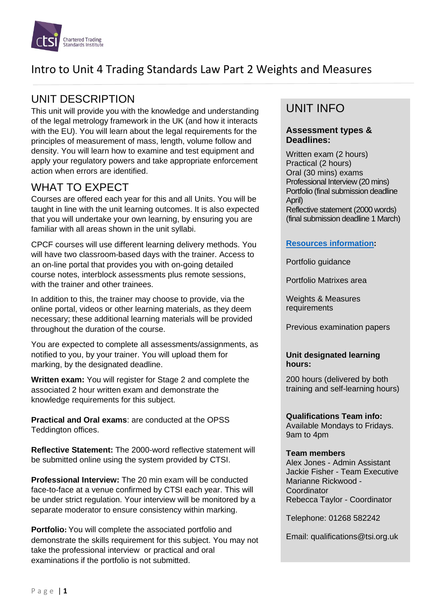

## UNIT DESCRIPTION

This unit will provide you with the knowledge and understanding of the legal metrology framework in the UK (and how it interacts with the EU). You will learn about the legal requirements for the principles of measurement of mass, length, volume follow and density. You will learn how to examine and test equipment and apply your regulatory powers and take appropriate enforcement action when errors are identified.

## WHAT TO EXPECT

Courses are offered each year for this and all Units. You will be taught in line with the unit learning outcomes. It is also expected that you will undertake your own learning, by ensuring you are familiar with all areas shown in the unit syllabi.

CPCF courses will use different learning delivery methods. You will have two classroom-based days with the trainer. Access to an on-line portal that provides you with on-going detailed course notes, interblock assessments plus remote sessions, with the trainer and other trainees.

In addition to this, the trainer may choose to provide, via the online portal, videos or other learning materials, as they deem necessary; these additional learning materials will be provided throughout the duration of the course.

You are expected to complete all assessments/assignments, as notified to you, by your trainer. You will upload them for marking, by the designated deadline.

**Written exam:** You will register for Stage 2 and complete the associated 2 hour written exam and demonstrate the knowledge requirements for this subject.

**Practical and Oral exams**: are conducted at the OPSS Teddington offices.

**Reflective Statement:** The 2000-word reflective statement will be submitted online using the system provided by CTSI.

**Professional Interview:** The 20 min exam will be conducted face-to-face at a venue confirmed by CTSI each year. This will be under strict regulation. Your interview will be monitored by a separate moderator to ensure consistency within marking.

**Portfolio:** You will complete the associated portfolio and demonstrate the skills requirement for this subject. You may not take the professional interview or practical and oral examinations if the portfolio is not submitted.

### UNIT INFO

#### **Assessment types & Deadlines:**

Written exam (2 hours) Practical (2 hours) Oral (30 mins) exams Professional Interview (20 mins) Portfolio (final submission deadline April) Reflective statement (2000 words) (final submission deadline 1 March)

#### **[Resources information:](https://www.tradingstandards.uk/practitioners/training-development/qualifications-resources)**

Portfolio guidance

Portfolio Matrixes area

Weights & Measures requirements

Previous examination papers

#### **Unit designated learning hours:**

200 hours (delivered by both training and self-learning hours)

**Qualifications Team info:** Available Mondays to Fridays. 9am to 4pm

#### **Team members**

Alex Jones - Admin Assistant Jackie Fisher - Team Executive Marianne Rickwood - **Coordinator** Rebecca Taylor - Coordinator

Telephone: 01268 582242

Email: qualifications@tsi.org.uk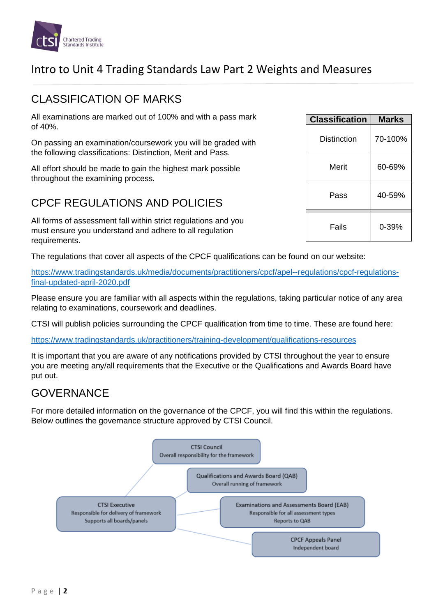

### CLASSIFICATION OF MARKS

All examinations are marked out of 100% and with a pass mark of 40%.

On passing an examination/coursework you will be graded with the following classifications: Distinction, Merit and Pass.

All effort should be made to gain the highest mark possible throughout the examining process.

### CPCF REGULATIONS AND POLICIES

All forms of assessment fall within strict regulations and you must ensure you understand and adhere to all regulation requirements.

The regulations that cover all aspects of the CPCF qualifications can be found on our website:

[https://www.tradingstandards.uk/media/documents/practitioners/cpcf/apel--regulations/cpcf-regulations](https://www.tradingstandards.uk/media/documents/practitioners/cpcf/apel--regulations/cpcf-regulations-final-updated-april-2020.pdf)[final-updated-april-2020.pdf](https://www.tradingstandards.uk/media/documents/practitioners/cpcf/apel--regulations/cpcf-regulations-final-updated-april-2020.pdf)

Please ensure you are familiar with all aspects within the regulations, taking particular notice of any area relating to examinations, coursework and deadlines.

CTSI will publish policies surrounding the CPCF qualification from time to time. These are found here:

<https://www.tradingstandards.uk/practitioners/training-development/qualifications-resources>

It is important that you are aware of any notifications provided by CTSI throughout the year to ensure you are meeting any/all requirements that the Executive or the Qualifications and Awards Board have put out.

### GOVERNANCE

For more detailed information on the governance of the CPCF, you will find this within the regulations. Below outlines the governance structure approved by CTSI Council.



| <b>Classification</b> | <b>Marks</b> |
|-----------------------|--------------|
| Distinction           | 70-100%      |
| Merit                 | 60-69%       |
| Pass                  | 40-59%       |
| Fails                 | 0-39%        |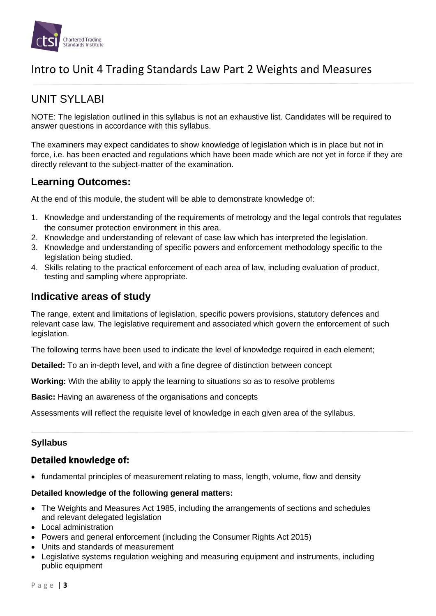

## UNIT SYLLABI

NOTE: The legislation outlined in this syllabus is not an exhaustive list. Candidates will be required to answer questions in accordance with this syllabus.

The examiners may expect candidates to show knowledge of legislation which is in place but not in force, i.e. has been enacted and regulations which have been made which are not yet in force if they are directly relevant to the subject-matter of the examination.

### **Learning Outcomes:**

At the end of this module, the student will be able to demonstrate knowledge of:

- 1. Knowledge and understanding of the requirements of metrology and the legal controls that regulates the consumer protection environment in this area.
- 2. Knowledge and understanding of relevant of case law which has interpreted the legislation.
- 3. Knowledge and understanding of specific powers and enforcement methodology specific to the legislation being studied.
- 4. Skills relating to the practical enforcement of each area of law, including evaluation of product, testing and sampling where appropriate.

#### **Indicative areas of study**

The range, extent and limitations of legislation, specific powers provisions, statutory defences and relevant case law. The legislative requirement and associated which govern the enforcement of such legislation.

The following terms have been used to indicate the level of knowledge required in each element;

**Detailed:** To an in-depth level, and with a fine degree of distinction between concept

**Working:** With the ability to apply the learning to situations so as to resolve problems

**Basic:** Having an awareness of the organisations and concepts

Assessments will reflect the requisite level of knowledge in each given area of the syllabus.

#### **Syllabus**

#### **Detailed knowledge of:**

• fundamental principles of measurement relating to mass, length, volume, flow and density

#### **Detailed knowledge of the following general matters:**

- The Weights and Measures Act 1985, including the arrangements of sections and schedules and relevant delegated legislation
- Local administration
- Powers and general enforcement (including the Consumer Rights Act 2015)
- Units and standards of measurement
- Legislative systems regulation weighing and measuring equipment and instruments, including public equipment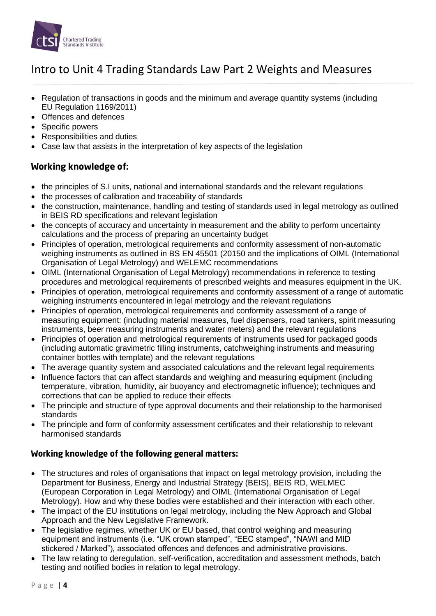

- Regulation of transactions in goods and the minimum and average quantity systems (including EU Regulation 1169/2011)
- Offences and defences
- Specific powers
- Responsibilities and duties
- Case law that assists in the interpretation of key aspects of the legislation

#### Working knowledge of:

- the principles of S.I units, national and international standards and the relevant regulations
- the processes of calibration and traceability of standards
- the construction, maintenance, handling and testing of standards used in legal metrology as outlined in BEIS RD specifications and relevant legislation
- the concepts of accuracy and uncertainty in measurement and the ability to perform uncertainty calculations and the process of preparing an uncertainty budget
- Principles of operation, metrological requirements and conformity assessment of non-automatic weighing instruments as outlined in BS EN 45501 (20150 and the implications of OIML (International Organisation of Legal Metrology) and WELEMC recommendations
- OIML (International Organisation of Legal Metrology) recommendations in reference to testing procedures and metrological requirements of prescribed weights and measures equipment in the UK.
- Principles of operation, metrological requirements and conformity assessment of a range of automatic weighing instruments encountered in legal metrology and the relevant regulations
- Principles of operation, metrological requirements and conformity assessment of a range of measuring equipment: (including material measures, fuel dispensers, road tankers, spirit measuring instruments, beer measuring instruments and water meters) and the relevant regulations
- Principles of operation and metrological requirements of instruments used for packaged goods (including automatic gravimetric filling instruments, catchweighing instruments and measuring container bottles with template) and the relevant regulations
- The average quantity system and associated calculations and the relevant legal requirements
- Influence factors that can affect standards and weighing and measuring equipment (including temperature, vibration, humidity, air buoyancy and electromagnetic influence); techniques and corrections that can be applied to reduce their effects
- The principle and structure of type approval documents and their relationship to the harmonised standards
- The principle and form of conformity assessment certificates and their relationship to relevant harmonised standards

#### Working knowledge of the following general matters:

- The structures and roles of organisations that impact on legal metrology provision, including the Department for Business, Energy and Industrial Strategy (BEIS), BEIS RD, WELMEC (European Corporation in Legal Metrology) and OIML (International Organisation of Legal Metrology). How and why these bodies were established and their interaction with each other.
- The impact of the EU institutions on legal metrology, including the New Approach and Global Approach and the New Legislative Framework.
- The legislative regimes, whether UK or EU based, that control weighing and measuring equipment and instruments (i.e. "UK crown stamped", "EEC stamped", "NAWI and MID stickered / Marked"), associated offences and defences and administrative provisions.
- The law relating to deregulation, self-verification, accreditation and assessment methods, batch testing and notified bodies in relation to legal metrology.